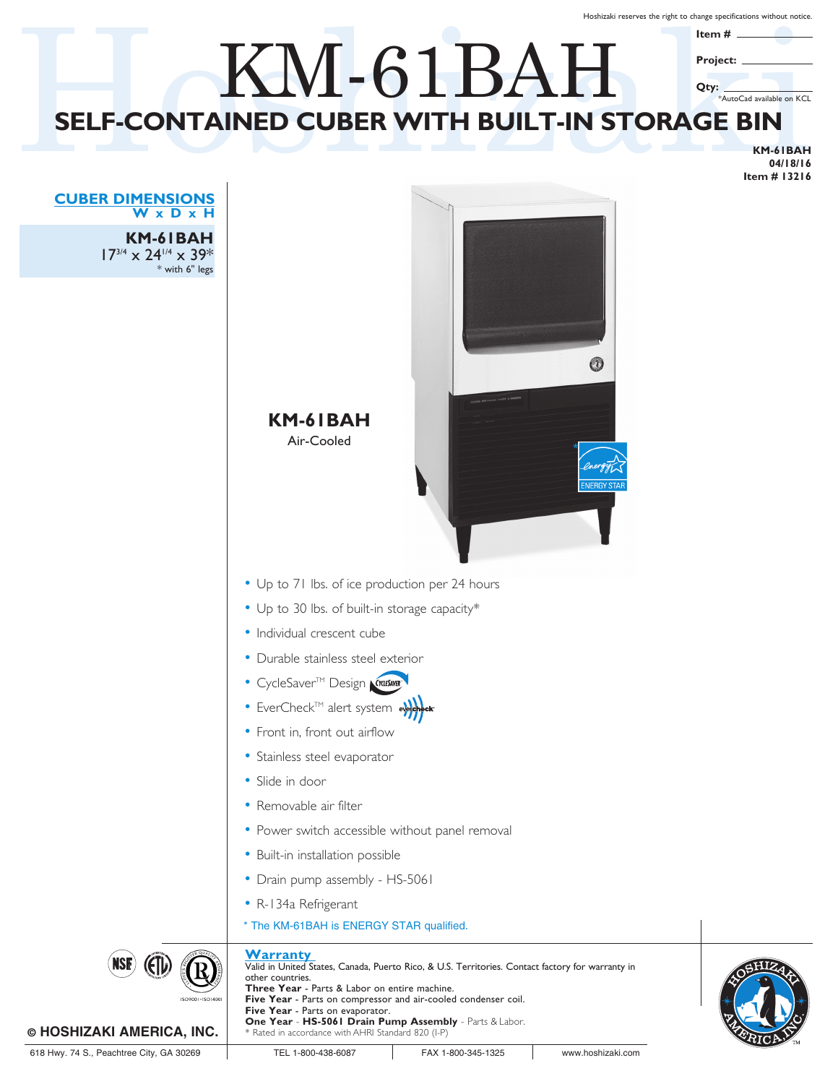Hoshizaki reserves the right to change specifications without notice.

## SELF-CONTAINED CUBER WITH BUILT-IN STORAGE BIN **SELF-CONTAINED CUBER WITH BUILT-IN STORAGE BIN** KM-61BAH **Item # Project: Qty:** \*AutoCad available on KCL

**KM-61BAH 04/18/16 Item # 13216**





**KM-61BAH** 17<sup>3/4</sup> x 24<sup>1/4</sup> x 39<sup>\*</sup> with 6" legs

|  | © HOSHIZAKI AMERICA, INC. |  |  |  |  |
|--|---------------------------|--|--|--|--|
|--|---------------------------|--|--|--|--|

\* Rated in accordance with AHRI Standard 820 (I-P)

**One Year** - **HS-5061 Drain Pump Assembly** - Parts & Labor.

**Five Year** - Parts on evaporator.